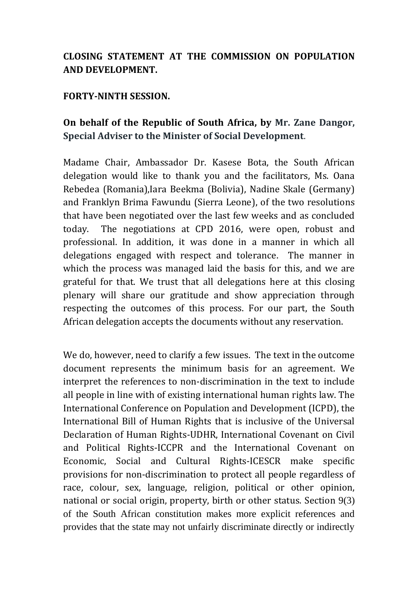## **CLOSING STATEMENT AT THE COMMISSION ON POPULATION AND DEVELOPMENT.**

## **FORTY-NINTH SESSION.**

## **On behalf of the Republic of South Africa, by Mr. Zane Dangor, Special Adviser to the Minister of Social Development**.

Madame Chair, Ambassador Dr. Kasese Bota, the South African delegation would like to thank you and the facilitators, Ms. Oana Rebedea (Romania),Iara Beekma (Bolivia), Nadine Skale (Germany) and Franklyn Brima Fawundu (Sierra Leone), of the two resolutions that have been negotiated over the last few weeks and as concluded today. The negotiations at CPD 2016, were open, robust and professional. In addition, it was done in a manner in which all delegations engaged with respect and tolerance. The manner in which the process was managed laid the basis for this, and we are grateful for that. We trust that all delegations here at this closing plenary will share our gratitude and show appreciation through respecting the outcomes of this process. For our part, the South African delegation accepts the documents without any reservation.

We do, however, need to clarify a few issues. The text in the outcome document represents the minimum basis for an agreement. We interpret the references to non-discrimination in the text to include all people in line with of existing international human rights law. The International Conference on Population and Development (ICPD), the International Bill of Human Rights that is inclusive of the Universal Declaration of Human Rights-UDHR, International Covenant on Civil and Political Rights-ICCPR and the International Covenant on Economic, Social and Cultural Rights-ICESCR make specific provisions for non-discrimination to protect all people regardless of race, colour, sex, language, religion, political or other opinion, national or social origin, property, birth or other status. Section 9(3) of the South African constitution makes more explicit references and provides that the state may not unfairly discriminate directly or indirectly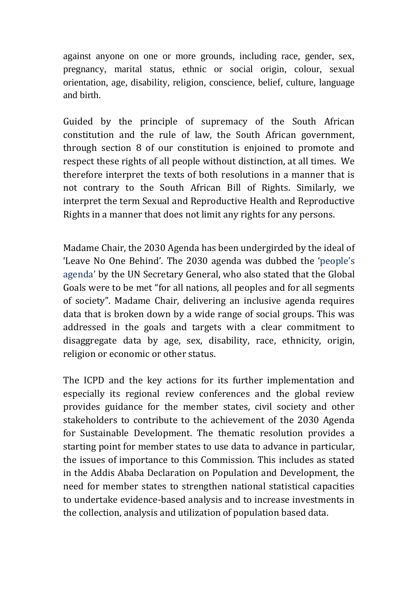against anyone on one or more grounds, including race, gender, sex, pregnancy, marital status, ethnic or social origin, colour, sexual orientation, age, disability, religion, conscience, belief, culture, language and birth.

Guided by the principle of supremacy of the South African constitution and the rule of law, the South African government, through section 8 of our constitution is enjoined to promote and respect these rights of all people without distinction, at all times. We therefore interpret the texts of both resolutions in a manner that is not contrary to the South African Bill of Rights. Similarly, we interpret the term Sexual and Reproductive Health and Reproductive Rights in a manner that does not limit any rights for any persons.

Madame Chair, the 2030 Agenda has been undergirded by the ideal of 'Leave No One Behind'. The 2030 agenda was dubbed the ['people's](http://www.theguardian.com/global-development/2015/aug/03/ban-ki-moon-hails-sdgs-agreed-by-193-nations-as-leaving-no-one-behind)  [agenda'](http://www.theguardian.com/global-development/2015/aug/03/ban-ki-moon-hails-sdgs-agreed-by-193-nations-as-leaving-no-one-behind) by the UN Secretary General, who also stated that the Global Goals were to be met "for all nations, all peoples and for all segments of society". Madame Chair, delivering an inclusive agenda requires data that is broken down by a wide range of social groups. This was addressed in the goals and targets with a clear commitment to disaggregate data by age, sex, disability, race, ethnicity, origin, religion or economic or other status.

The ICPD and the key actions for its further implementation and especially its regional review conferences and the global review provides guidance for the member states, civil society and other stakeholders to contribute to the achievement of the 2030 Agenda for Sustainable Development. The thematic resolution provides a starting point for member states to use data to advance in particular, the issues of importance to this Commission. This includes as stated in the Addis Ababa Declaration on Population and Development, the need for member states to strengthen national statistical capacities to undertake evidence-based analysis and to increase investments in the collection, analysis and utilization of population based data.